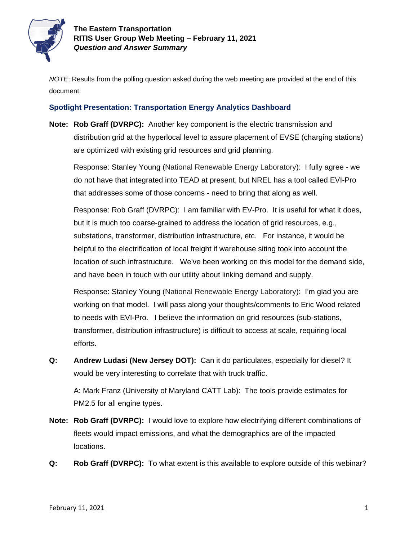

*NOTE*: Results from the polling question asked during the web meeting are provided at the end of this document.

## **Spotlight Presentation: Transportation Energy Analytics Dashboard**

**Note: Rob Graff (DVRPC):** Another key component is the electric transmission and distribution grid at the hyperlocal level to assure placement of EVSE (charging stations) are optimized with existing grid resources and grid planning.

Response: Stanley Young (National Renewable Energy Laboratory): I fully agree - we do not have that integrated into TEAD at present, but NREL has a tool called EVI-Pro that addresses some of those concerns - need to bring that along as well.

Response: Rob Graff (DVRPC): I am familiar with EV-Pro. It is useful for what it does, but it is much too coarse-grained to address the location of grid resources, e.g., substations, transformer, distribution infrastructure, etc. For instance, it would be helpful to the electrification of local freight if warehouse siting took into account the location of such infrastructure. We've been working on this model for the demand side, and have been in touch with our utility about linking demand and supply.

Response: Stanley Young (National Renewable Energy Laboratory): I'm glad you are working on that model. I will pass along your thoughts/comments to Eric Wood related to needs with EVI-Pro. I believe the information on grid resources (sub-stations, transformer, distribution infrastructure) is difficult to access at scale, requiring local efforts.

**Q: Andrew Ludasi (New Jersey DOT):** Can it do particulates, especially for diesel? It would be very interesting to correlate that with truck traffic.

A: Mark Franz (University of Maryland CATT Lab): The tools provide estimates for PM2.5 for all engine types.

- **Note: Rob Graff (DVRPC):** I would love to explore how electrifying different combinations of fleets would impact emissions, and what the demographics are of the impacted locations.
- **Q: Rob Graff (DVRPC):** To what extent is this available to explore outside of this webinar?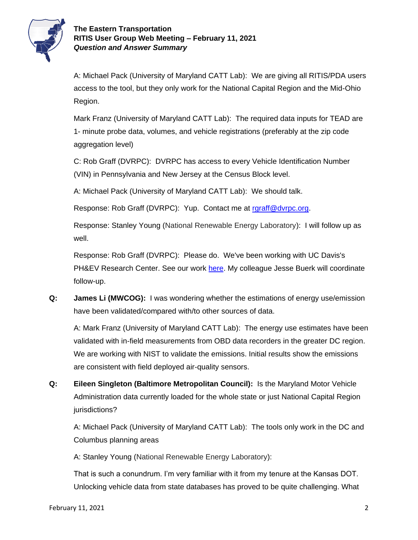

## **The Eastern Transportation RITIS User Group Web Meeting – February 11, 2021** *Question and Answer Summary*

A: Michael Pack (University of Maryland CATT Lab): We are giving all RITIS/PDA users access to the tool, but they only work for the National Capital Region and the Mid-Ohio Region.

Mark Franz (University of Maryland CATT Lab): The required data inputs for TEAD are 1- minute probe data, volumes, and vehicle registrations (preferably at the zip code aggregation level)

C: Rob Graff (DVRPC): DVRPC has access to every Vehicle Identification Number (VIN) in Pennsylvania and New Jersey at the Census Block level.

A: Michael Pack (University of Maryland CATT Lab): We should talk.

Response: Rob Graff (DVRPC): Yup. Contact me at [rgraff@dvrpc.org.](mailto:rgraff@dvrpc.org)

Response: Stanley Young (National Renewable Energy Laboratory): I will follow up as well.

Response: Rob Graff (DVRPC): Please do. We've been working with UC Davis's PH&EV Research Center. See our work [here.](https://dvrpcgis.maps.arcgis.com/apps/MapSeries/index.html?appid=793fa4e10eac43b387adfc9cd2621a3d.) My colleague Jesse Buerk will coordinate follow-up.

**Q: James Li (MWCOG):** I was wondering whether the estimations of energy use/emission have been validated/compared with/to other sources of data.

A: Mark Franz (University of Maryland CATT Lab): The energy use estimates have been validated with in-field measurements from OBD data recorders in the greater DC region. We are working with NIST to validate the emissions. Initial results show the emissions are consistent with field deployed air-quality sensors.

**Q: Eileen Singleton (Baltimore Metropolitan Council):** Is the Maryland Motor Vehicle Administration data currently loaded for the whole state or just National Capital Region jurisdictions?

A: Michael Pack (University of Maryland CATT Lab): The tools only work in the DC and Columbus planning areas

A: Stanley Young (National Renewable Energy Laboratory):

That is such a conundrum. I'm very familiar with it from my tenure at the Kansas DOT. Unlocking vehicle data from state databases has proved to be quite challenging. What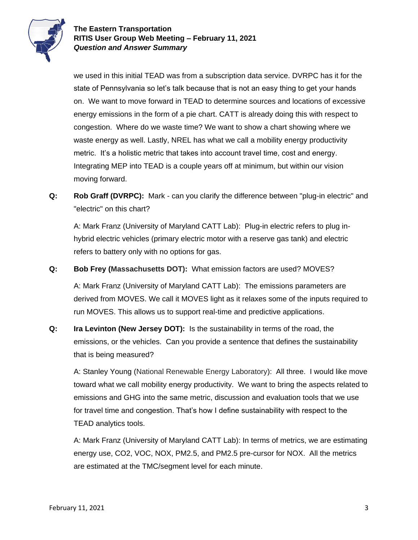

we used in this initial TEAD was from a subscription data service. DVRPC has it for the state of Pennsylvania so let's talk because that is not an easy thing to get your hands on. We want to move forward in TEAD to determine sources and locations of excessive energy emissions in the form of a pie chart. CATT is already doing this with respect to congestion. Where do we waste time? We want to show a chart showing where we waste energy as well. Lastly, NREL has what we call a mobility energy productivity metric. It's a holistic metric that takes into account travel time, cost and energy. Integrating MEP into TEAD is a couple years off at minimum, but within our vision moving forward.

**Q: Rob Graff (DVRPC):** Mark - can you clarify the difference between "plug-in electric" and "electric" on this chart?

A: Mark Franz (University of Maryland CATT Lab): Plug-in electric refers to plug inhybrid electric vehicles (primary electric motor with a reserve gas tank) and electric refers to battery only with no options for gas.

**Q: Bob Frey (Massachusetts DOT):** What emission factors are used? MOVES?

A: Mark Franz (University of Maryland CATT Lab): The emissions parameters are derived from MOVES. We call it MOVES light as it relaxes some of the inputs required to run MOVES. This allows us to support real-time and predictive applications.

**Q: Ira Levinton (New Jersey DOT):** Is the sustainability in terms of the road, the emissions, or the vehicles. Can you provide a sentence that defines the sustainability that is being measured?

A: Stanley Young (National Renewable Energy Laboratory): All three. I would like move toward what we call mobility energy productivity. We want to bring the aspects related to emissions and GHG into the same metric, discussion and evaluation tools that we use for travel time and congestion. That's how I define sustainability with respect to the TEAD analytics tools.

A: Mark Franz (University of Maryland CATT Lab): In terms of metrics, we are estimating energy use, CO2, VOC, NOX, PM2.5, and PM2.5 pre-cursor for NOX. All the metrics are estimated at the TMC/segment level for each minute.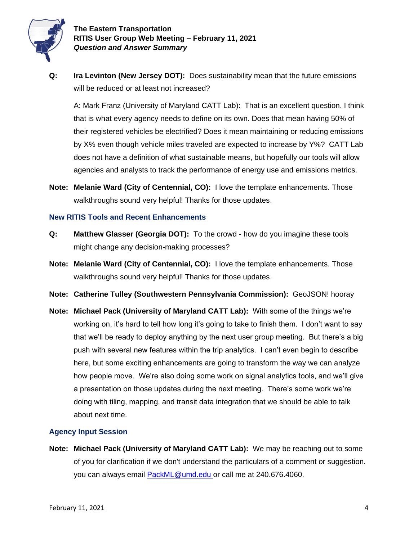

**The Eastern Transportation RITIS User Group Web Meeting – February 11, 2021** *Question and Answer Summary*

**Q: Ira Levinton (New Jersey DOT):** Does sustainability mean that the future emissions will be reduced or at least not increased?

A: Mark Franz (University of Maryland CATT Lab): That is an excellent question. I think that is what every agency needs to define on its own. Does that mean having 50% of their registered vehicles be electrified? Does it mean maintaining or reducing emissions by X% even though vehicle miles traveled are expected to increase by Y%? CATT Lab does not have a definition of what sustainable means, but hopefully our tools will allow agencies and analysts to track the performance of energy use and emissions metrics.

**Note: Melanie Ward (City of Centennial, CO):** I love the template enhancements. Those walkthroughs sound very helpful! Thanks for those updates.

#### **New RITIS Tools and Recent Enhancements**

- **Q: Matthew Glasser (Georgia DOT):** To the crowd how do you imagine these tools might change any decision-making processes?
- **Note: Melanie Ward (City of Centennial, CO):** I love the template enhancements. Those walkthroughs sound very helpful! Thanks for those updates.
- **Note: Catherine Tulley (Southwestern Pennsylvania Commission):** GeoJSON! hooray
- **Note: Michael Pack (University of Maryland CATT Lab):** With some of the things we're working on, it's hard to tell how long it's going to take to finish them. I don't want to say that we'll be ready to deploy anything by the next user group meeting. But there's a big push with several new features within the trip analytics. I can't even begin to describe here, but some exciting enhancements are going to transform the way we can analyze how people move. We're also doing some work on signal analytics tools, and we'll give a presentation on those updates during the next meeting. There's some work we're doing with tiling, mapping, and transit data integration that we should be able to talk about next time.

### **Agency Input Session**

**Note: Michael Pack (University of Maryland CATT Lab):** We may be reaching out to some of you for clarification if we don't understand the particulars of a comment or suggestion. you can always email [PackML@umd.edu](mailto:PackML@umd.edu) or call me at 240.676.4060.